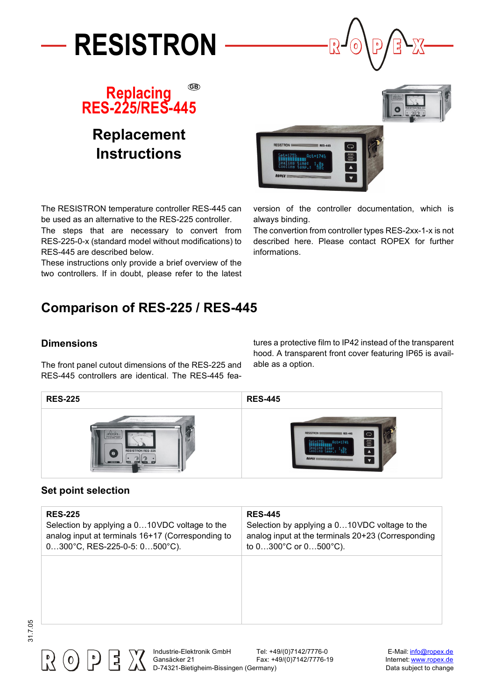



## **Replacing RES-225/RES-445 GB**

# **Replacement Instructions**

 $RESA$ 

always binding.

informations.

version of the controller documentation, which is

The convertion from controller types RES-2xx-1-x is not described here. Please contact ROPEX for further

The RESISTRON temperature controller RES-445 can be used as an alternative to the RES-225 controller.

The steps that are necessary to convert from RES-225-0-x (standard model without modifications) to RES-445 are described below.

These instructions only provide a brief overview of the two controllers. If in doubt, please refer to the latest

# **Comparison of RES-225 / RES-445**

#### **Dimensions**

The front panel cutout dimensions of the RES-225 and RES-445 controllers are identical. The RES-445 features a protective film to IP42 instead of the transparent hood. A transparent front cover featuring IP65 is available as a option.



#### **Set point selection**

| <b>RES-225</b>                                    | <b>RES-445</b>                                     |
|---------------------------------------------------|----------------------------------------------------|
| Selection by applying a 010VDC voltage to the     | Selection by applying a 010VDC voltage to the      |
| analog input at terminals 16+17 (Corresponding to | analog input at the terminals 20+23 (Corresponding |
| $0300^{\circ}$ C, RES-225-0-5: $0500^{\circ}$ C). | to $0300^{\circ}$ C or $0500^{\circ}$ C).          |
|                                                   |                                                    |



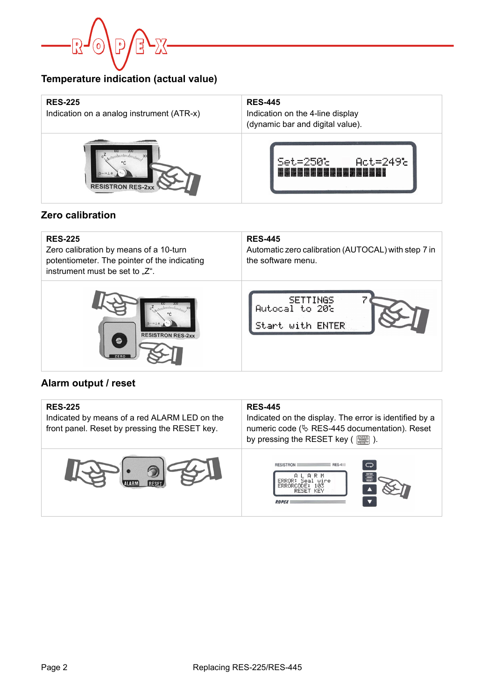

#### **Temperature indication (actual value)**

| <b>RES-225</b><br>Indication on a analog instrument (ATR-x) | <b>RES-445</b><br>Indication on the 4-line display<br>(dynamic bar and digital value). |
|-------------------------------------------------------------|----------------------------------------------------------------------------------------|
| <b>RESISTRON RES-2xx</b>                                    | $Set = 250$<br>$Act = 249c$                                                            |

#### **Zero calibration**

| <b>RES-225</b><br>Zero calibration by means of a 10-turn<br>potentiometer. The pointer of the indicating<br>instrument must be set to "Z". | <b>RES-445</b><br>Automatic zero calibration (AUTOCAL) with step 7 in<br>the software menu. |
|--------------------------------------------------------------------------------------------------------------------------------------------|---------------------------------------------------------------------------------------------|
| $\circ^{\mathsf{Z}}$<br><b>RESISTRON RES-2xx</b>                                                                                           | <b>SETTINGS</b><br>Autocal to 20t<br>Start with ENTER                                       |

#### **Alarm output / reset**

| <b>RES-225</b><br>Indicated by means of a red ALARM LED on the<br>front panel. Reset by pressing the RESET key. | <b>RES-445</b><br>Indicated on the display. The error is identified by a<br>numeric code ( $\&$ RES-445 documentation). Reset<br>by pressing the RESET key ( |  |
|-----------------------------------------------------------------------------------------------------------------|--------------------------------------------------------------------------------------------------------------------------------------------------------------|--|
|                                                                                                                 | ◯<br><b>RESISTRON</b><br>RES-4<br>HAND<br>ERRORCODE:<br>1 ИЗ<br>-KEY<br>RESET<br><b>ROPEX</b>                                                                |  |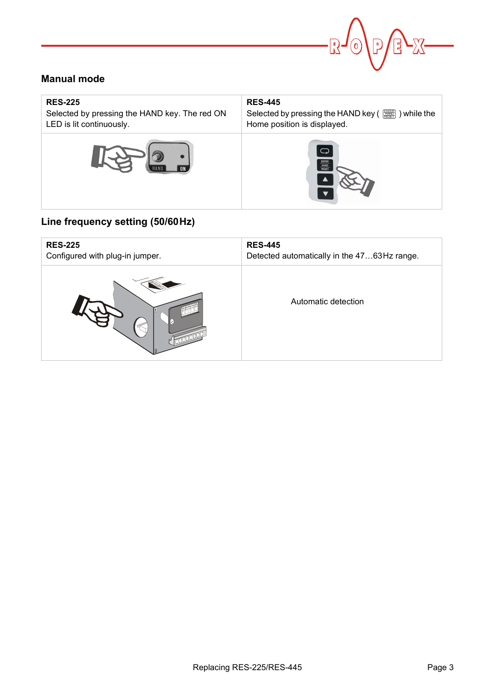

#### **Manual mode**

| <b>RES-225</b>                                | <b>RES-445</b>                       |
|-----------------------------------------------|--------------------------------------|
| Selected by pressing the HAND key. The red ON |                                      |
| LED is lit continuously.                      | Home position is displayed.          |
|                                               | $\bigcirc$<br>ENTER<br>HAND<br>RESET |

### **Line frequency setting (50/60Hz)**

| <b>RES-225</b>                  | <b>RES-445</b>                              |
|---------------------------------|---------------------------------------------|
| Configured with plug-in jumper. | Detected automatically in the 4763Hz range. |
|                                 | Automatic detection                         |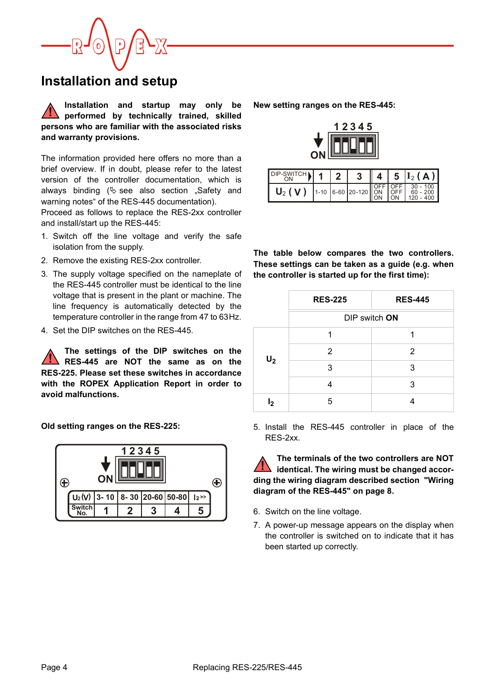

### **Installation and setup**

**Installation and startup may only be performed by technically trained, skilled persons who are familiar with the associated risks and warranty provisions. !**

The information provided here offers no more than a brief overview. If in doubt, please refer to the latest version of the controller documentation, which is always binding  $(\&$  see also section "Safety and warning notes" of the RES-445 documentation).

Proceed as follows to replace the RES-2xx controller and install/start up the RES-445:

- 1. Switch off the line voltage and verify the safe isolation from the supply.
- 2. Remove the existing RES-2xx controller.
- 3. The supply voltage specified on the nameplate of the RES-445 controller must be identical to the line voltage that is present in the plant or machine. The line frequency is automatically detected by the temperature controller in the range from 47 to 63Hz.
- 4. Set the DIP switches on the RES-445.

**The settings of the DIP switches on the RES-445 are NOT the same as on the RES-225. Please set these switches in accordance with the ROPEX Application Report in order to avoid malfunctions. !**

**Old setting ranges on the RES-225:**



**New setting ranges on the RES-445:**



| DIP-SWITCH                                                                 |  | 3 <sup>1</sup> |  | $\  4   5  $ $I_2(A)$ |
|----------------------------------------------------------------------------|--|----------------|--|-----------------------|
| $U_2 (V)$ 1-10 6-60 20-120 $\sqrt{\frac{\text{OFF}}{\text{OFF}}}$ 60 - 200 |  |                |  |                       |

**The table below compares the two controllers. These settings can be taken as a guide (e.g. when the controller is started up for the first time):**

|       | <b>RES-225</b> | <b>RES-445</b> |  |
|-------|----------------|----------------|--|
|       | DIP switch ON  |                |  |
|       |                |                |  |
| $U_2$ | 2              | 2              |  |
|       | 3              | 3              |  |
|       | 4              | 3              |  |
| وا    | 5              |                |  |

5. Install the RES-445 controller in place of the RES-2xx.

**The terminals of the two controllers are NOT identical. The wiring must be changed according the wiring diagram described [section "Wiring](#page-7-0) [diagram of the RES-445" on page 8.](#page-7-0) !**

- 6. Switch on the line voltage.
- 7. A power-up message appears on the display when the controller is switched on to indicate that it has been started up correctly.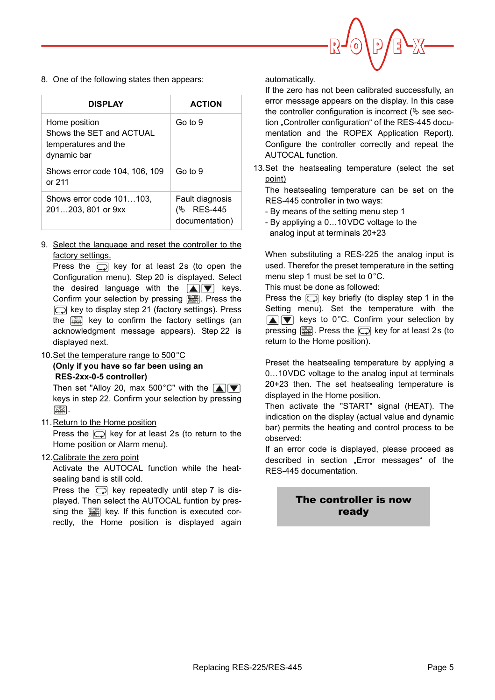

8. One of the following states then appears:

| <b>DISPLAY</b>                                                                   | <b>ACTION</b>                                             |
|----------------------------------------------------------------------------------|-----------------------------------------------------------|
| Home position<br>Shows the SET and ACTUAL<br>temperatures and the<br>dynamic bar | Go to 9                                                   |
| Shows error code 104, 106, 109<br>or $211$                                       | Go to 9                                                   |
| Shows error code 101103,<br>201203, 801 or 9xx                                   | Fault diagnosis<br><b>RES-445</b><br>(৬<br>documentation) |

9. Select the language and reset the controller to the factory settings.

Press the  $\Box$  key for at least 2s (to open the Configuration menu). Step 20 is displayed. Select the desired language with the  $\blacksquare$  $\blacksquare$  keys. Confirm your selection by pressing [ . Press the  $\Box$  key to display step 21 (factory settings). Press the  $\left[\begin{smallmatrix}\frac{mn}{km}\end{smallmatrix}\right]$  key to confirm the factory settings (an acknowledgment message appears). Step 22 is displayed next.

10. Set the temperature range to 500 °C **(Only if you have so far been using an RES-2xx-0-5 controller)**

Then set "Alloy 20, max 500°C" with the  $\boxed{\blacktriangle}$ keys in step 22. Confirm your selection by pressing . ENTER HAND RESET

11. Return to the Home position

Press the  $\Box$  key for at least 2s (to return to the Home position or Alarm menu).

12.Calibrate the zero point

Activate the AUTOCAL function while the heatsealing band is still cold.

Press the  $\Box$  key repeatedly until step 7 is displayed. Then select the AUTOCAL funtion by pressing the  $\left[\frac{mn}{mn}\right]$  key. If this function is executed correctly, the Home position is displayed again automatically.

If the zero has not been calibrated successfully, an error message appears on the display. In this case the controller configuration is incorrect ( $\&$  see section "Controller configuration" of the RES-445 documentation and the ROPEX Application Report). Configure the controller correctly and repeat the AUTOCAL function.

13.Set the heatsealing temperature (select the set point)

The heatsealing temperature can be set on the RES-445 controller in two ways:

- By means of the setting menu step 1
- By appliying a 0…10VDC voltage to the analog input at terminals 20+23

When substituting a RES-225 the analog input is used. Therefor the preset temperature in the setting menu step 1 must be set to 0°C.

This must be done as followed:

Press the  $\Box$  key briefly (to display step 1 in the Setting menu). Set the temperature with the  $\boxed{\blacktriangle}$  keys to 0°C. Confirm your selection by pressing  $\left[\frac{mn}{mn}\right]$ . Press the  $\left[\bigcirc\right]$  key for at least 2s (to return to the Home position).

Preset the heatsealing temperature by applying a 0…10VDC voltage to the analog input at terminals 20+23 then. The set heatsealing temperature is displayed in the Home position.

Then activate the "START" signal (HEAT). The indication on the display (actual value and dynamic bar) permits the heating and control process to be observed:

If an error code is displayed, please proceed as described in section "Error messages" of the RES-445 documentation.

### The controller is now ready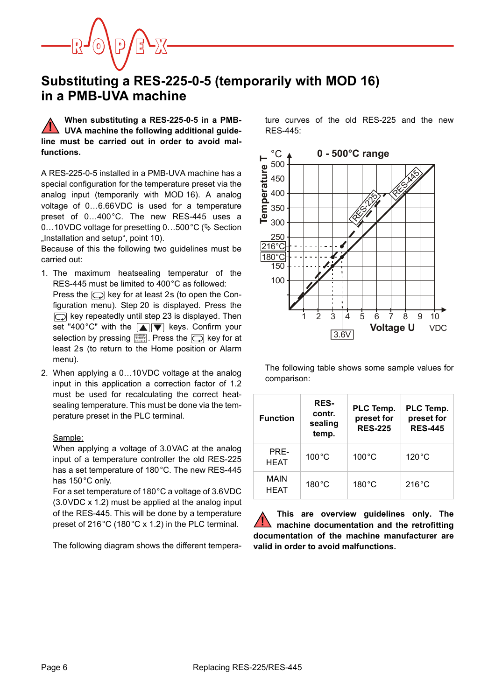### **Substituting a RES-225-0-5 (temporarily with MOD 16) in a PMB-UVA machine**

**When substituting a RES-225-0-5 in a PMB-UVA machine the following additional guideline must be carried out in order to avoid malfunctions. !**

A RES-225-0-5 installed in a PMB-UVA machine has a special configuration for the temperature preset via the analog input (temporarily with MOD 16). A analog voltage of 0…6.66VDC is used for a temperature preset of 0…400°C. The new RES-445 uses a 0...10 VDC voltage for presetting 0...500 °C ( $\&$  Section "Installation and setup", point 10).

Because of this the following two guidelines must be carried out:

- 1. The maximum heatsealing temperatur of the RES-445 must be limited to 400°C as followed: Press the  $\Box$  key for at least 2s (to open the Configuration menu). Step 20 is displayed. Press the  $\Box$  key repeatedly until step 23 is displayed. Then set "400°C" with the  $\boxed{\blacktriangle}$   $\boxed{\blacktriangledown}$  keys. Confirm your selection by pressing  $[\![\overline{\mathbb{R}\mathbb{R}}]\!]$ . Press the  $[\![\overline{\frown}\!]$  key for at least 2s (to return to the Home position or Alarm menu).
- 2. When applying a 0…10VDC voltage at the analog input in this application a correction factor of 1.2 must be used for recalculating the correct heatsealing temperature. This must be done via the temperature preset in the PLC terminal.

#### Sample:

When applying a voltage of 3.0VAC at the analog input of a temperature controller the old RES-225 has a set temperature of 180°C. The new RES-445 has 150°C only.

For a set temperature of 180°C a voltage of 3.6VDC (3.0VDC x 1.2) must be applied at the analog input of the RES-445. This will be done by a temperature preset of 216°C (180°C x 1.2) in the PLC terminal.

The following diagram shows the different tempera-

ture curves of the old RES-225 and the new RES-445:



The following table shows some sample values for comparison:

| <b>Function</b>     | <b>RES-</b><br>contr.<br>sealing<br>temp. | PLC Temp.<br>preset for<br><b>RES-225</b> | PLC Temp.<br>preset for<br><b>RES-445</b> |
|---------------------|-------------------------------------------|-------------------------------------------|-------------------------------------------|
| PRF-<br><b>HEAT</b> | $100^{\circ}$ C                           | $100^{\circ}$ C                           | $120^{\circ}$ C                           |
| MAIN<br><b>HEAT</b> | $180^{\circ}$ C                           | $180^{\circ}$ C                           | $216^{\circ}$ C                           |

**This are overview guidelines only. The machine documentation and the retrofitting documentation of the machine manufacturer are valid in order to avoid malfunctions. !**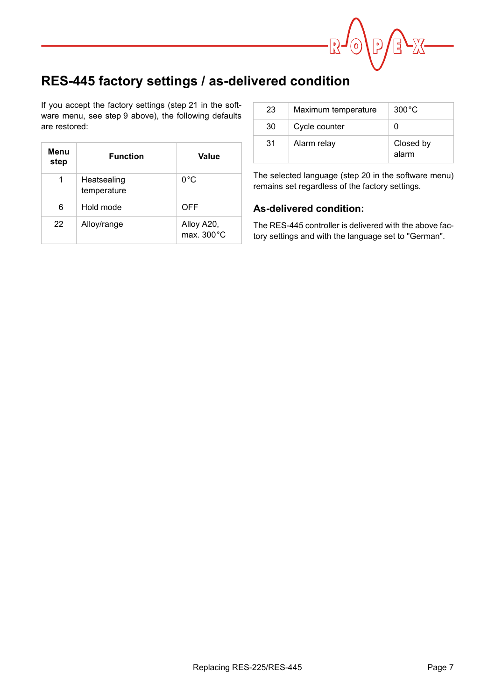

## **RES-445 factory settings / as-delivered condition**

If you accept the factory settings (step 21 in the software menu, see step 9 above), the following defaults are restored:

| Menu<br>step | <b>Function</b>            | Value                    |
|--------------|----------------------------|--------------------------|
| 1            | Heatsealing<br>temperature | $0^{\circ}$ C            |
| 6            | Hold mode                  | <b>OFF</b>               |
| 22           | Alloy/range                | Alloy A20,<br>max. 300°C |

| 23 | Maximum temperature | $300^{\circ}$ C    |
|----|---------------------|--------------------|
| 30 | Cycle counter       |                    |
| 31 | Alarm relay         | Closed by<br>alarm |

The selected language (step 20 in the software menu) remains set regardless of the factory settings.

#### **As-delivered condition:**

The RES-445 controller is delivered with the above factory settings and with the language set to "German".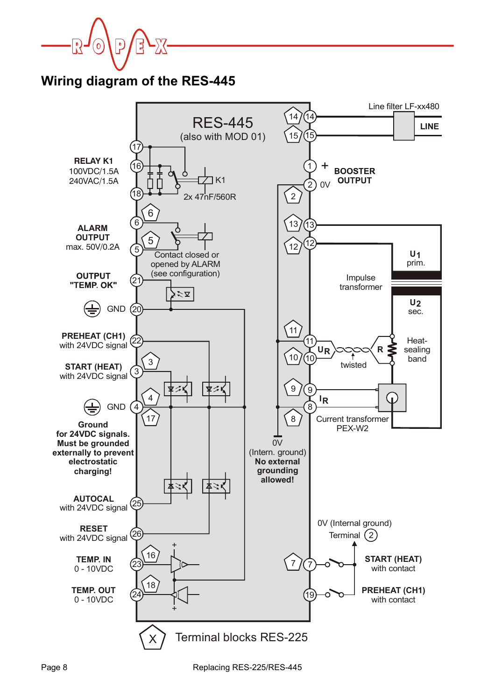

**Wiring diagram of the RES-445**

<span id="page-7-0"></span>